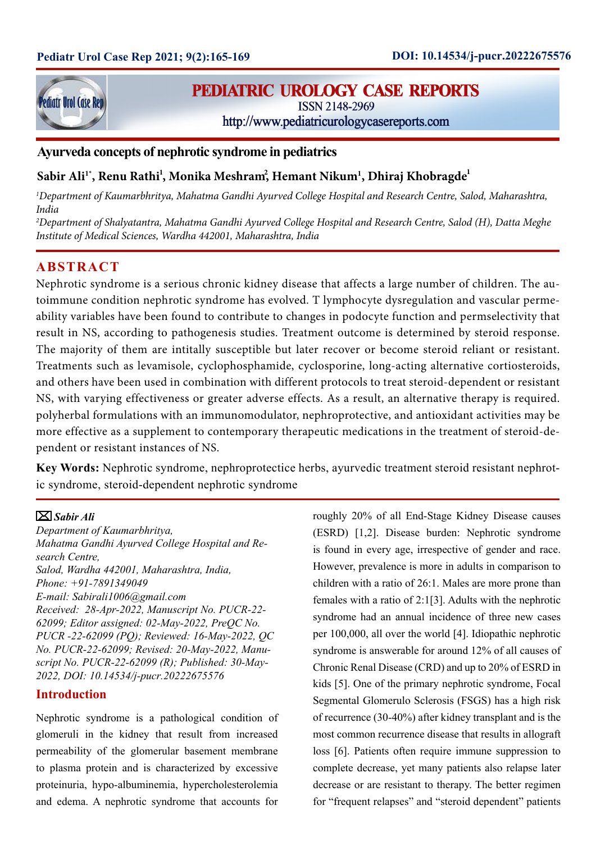

# **PEDIATRIC UROLOGY CASE REPORTS**

ISSN 2148-2969

http://www.pediatricurologycasereports.com

## **Ayurveda concepts of nephrotic syndrome in pediatrics**

# $\mathbf{S}\mathbf{abir}\ \mathbf{Ali^{1*}}\ \mathbf{Remu}\ \mathbf{Rathi^{1}}\ \mathbf{Monika}\ \mathbf{Meshram}^{2}\ \mathbf{Hemant}\ \mathbf{Nikum^{1}}\ \mathbf{Dhiraj}\ \mathbf{Khobragde^{1}}\ \mathbf{Cov}$

*1 Department of Kaumarbhritya, Mahatma Gandhi Ayurved College Hospital and Research Centre, Salod, Maharashtra, India*

*2 Department of Shalyatantra, Mahatma Gandhi Ayurved College Hospital and Research Centre, Salod (H), Datta Meghe Institute of Medical Sciences, Wardha 442001, Maharashtra, India*

## **ABSTRACT**

Nephrotic syndrome is a serious chronic kidney disease that affects a large number of children. The autoimmune condition nephrotic syndrome has evolved. T lymphocyte dysregulation and vascular permeability variables have been found to contribute to changes in podocyte function and permselectivity that result in NS, according to pathogenesis studies. Treatment outcome is determined by steroid response. The majority of them are intitally susceptible but later recover or become steroid reliant or resistant. Treatments such as levamisole, cyclophosphamide, cyclosporine, long-acting alternative cortiosteroids, and others have been used in combination with different protocols to treat steroid-dependent or resistant NS, with varying effectiveness or greater adverse effects. As a result, an alternative therapy is required. polyherbal formulations with an immunomodulator, nephroprotective, and antioxidant activities may be more effective as a supplement to contemporary therapeutic medications in the treatment of steroid-dependent or resistant instances of NS.

**Key Words:** Nephrotic syndrome, nephroprotectice herbs, ayurvedic treatment steroid resistant nephrotic syndrome, steroid-dependent nephrotic syndrome

#### *Sabir Ali*

*Department of Kaumarbhritya, Mahatma Gandhi Ayurved College Hospital and Research Centre, Salod, Wardha 442001, Maharashtra, India, Phone: +91-7891349049 E-mail: Sabirali1006@gmail.com Received: 28-Apr-2022, Manuscript No. PUCR-22- 62099; Editor assigned: 02-May-2022, PreQC No. PUCR -22-62099 (PQ); Reviewed: 16-May-2022, QC No. PUCR-22-62099; Revised: 20-May-2022, Manuscript No. PUCR-22-62099 (R); Published: 30-May-2022, DOI: 10.14534/j-pucr.20222675576*

### **Introduction**

Nephrotic syndrome is a pathological condition of glomeruli in the kidney that result from increased permeability of the glomerular basement membrane to plasma protein and is characterized by excessive proteinuria, hypo-albuminemia, hypercholesterolemia and edema. A nephrotic syndrome that accounts for roughly 20% of all End-Stage Kidney Disease causes (ESRD) [1,2]. Disease burden: Nephrotic syndrome is found in every age, irrespective of gender and race. However, prevalence is more in adults in comparison to children with a ratio of 26:1. Males are more prone than females with a ratio of 2:1[3]. Adults with the nephrotic syndrome had an annual incidence of three new cases per 100,000, all over the world [4]. Idiopathic nephrotic syndrome is answerable for around 12% of all causes of Chronic Renal Disease (CRD) and up to 20% of ESRD in kids [5]. One of the primary nephrotic syndrome, Focal Segmental Glomerulo Sclerosis (FSGS) has a high risk of recurrence (30-40%) after kidney transplant and is the most common recurrence disease that results in allograft loss [6]. Patients often require immune suppression to complete decrease, yet many patients also relapse later decrease or are resistant to therapy. The better regimen for "frequent relapses" and "steroid dependent" patients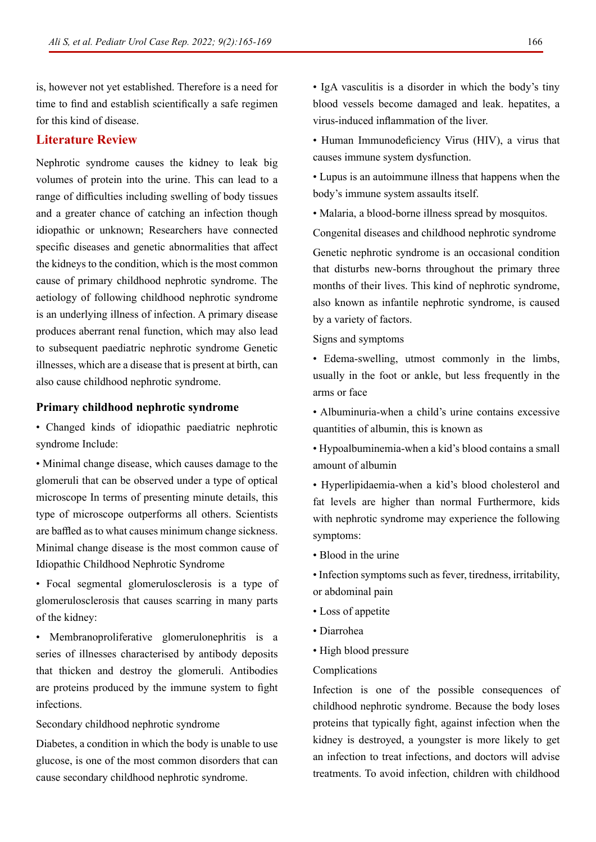is, however not yet established. Therefore is a need for time to find and establish scientifically a safe regimen for this kind of disease.

## **Literature Review**

Nephrotic syndrome causes the kidney to leak big volumes of protein into the urine. This can lead to a range of difficulties including swelling of body tissues and a greater chance of catching an infection though idiopathic or unknown; Researchers have connected specific diseases and genetic abnormalities that affect the kidneys to the condition, which is the most common cause of primary childhood nephrotic syndrome. The aetiology of following childhood nephrotic syndrome is an underlying illness of infection. A primary disease produces aberrant renal function, which may also lead to subsequent paediatric nephrotic syndrome Genetic illnesses, which are a disease that is present at birth, can also cause childhood nephrotic syndrome.

#### **Primary childhood nephrotic syndrome**

• Changed kinds of idiopathic paediatric nephrotic syndrome Include:

• Minimal change disease, which causes damage to the glomeruli that can be observed under a type of optical microscope In terms of presenting minute details, this type of microscope outperforms all others. Scientists are baffled as to what causes minimum change sickness. Minimal change disease is the most common cause of Idiopathic Childhood Nephrotic Syndrome

• Focal segmental glomerulosclerosis is a type of glomerulosclerosis that causes scarring in many parts of the kidney:

• Membranoproliferative glomerulonephritis is a series of illnesses characterised by antibody deposits that thicken and destroy the glomeruli. Antibodies are proteins produced by the immune system to fight infections.

Secondary childhood nephrotic syndrome

Diabetes, a condition in which the body is unable to use glucose, is one of the most common disorders that can cause secondary childhood nephrotic syndrome.

• IgA vasculitis is a disorder in which the body's tiny blood vessels become damaged and leak. hepatites, a virus-induced inflammation of the liver.

• Human Immunodeficiency Virus (HIV), a virus that causes immune system dysfunction.

• Lupus is an autoimmune illness that happens when the body's immune system assaults itself.

• Malaria, a blood-borne illness spread by mosquitos.

Congenital diseases and childhood nephrotic syndrome

Genetic nephrotic syndrome is an occasional condition that disturbs new-borns throughout the primary three months of their lives. This kind of nephrotic syndrome, also known as infantile nephrotic syndrome, is caused by a variety of factors.

Signs and symptoms

• Edema-swelling, utmost commonly in the limbs, usually in the foot or ankle, but less frequently in the arms or face

• Albuminuria-when a child's urine contains excessive quantities of albumin, this is known as

• Hypoalbuminemia-when a kid's blood contains a small amount of albumin

• Hyperlipidaemia-when a kid's blood cholesterol and fat levels are higher than normal Furthermore, kids with nephrotic syndrome may experience the following symptoms:

- Blood in the urine
- Infection symptoms such as fever, tiredness, irritability, or abdominal pain
- Loss of appetite
- Diarrohea
- High blood pressure
- Complications

Infection is one of the possible consequences of childhood nephrotic syndrome. Because the body loses proteins that typically fight, against infection when the kidney is destroyed, a youngster is more likely to get an infection to treat infections, and doctors will advise treatments. To avoid infection, children with childhood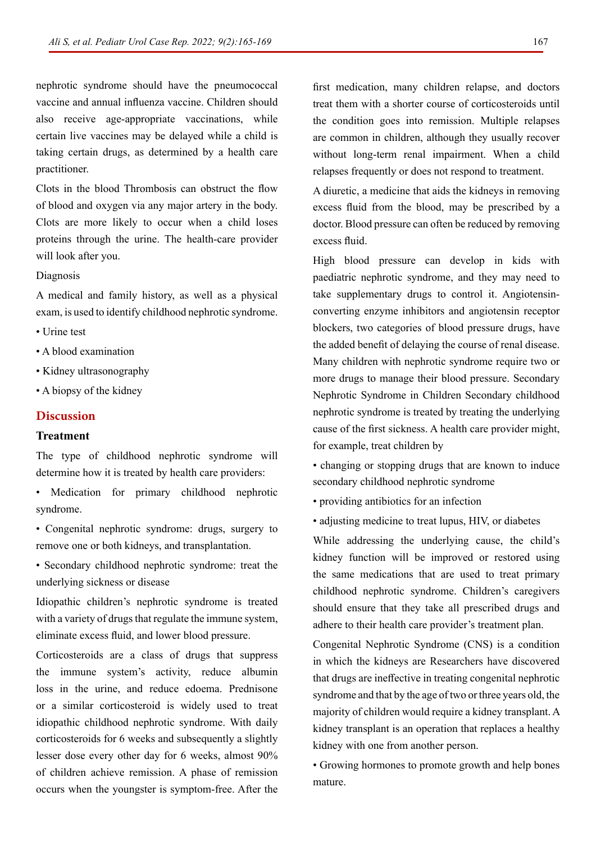nephrotic syndrome should have the pneumococcal vaccine and annual influenza vaccine. Children should also receive age-appropriate vaccinations, while certain live vaccines may be delayed while a child is taking certain drugs, as determined by a health care practitioner.

Clots in the blood Thrombosis can obstruct the flow of blood and oxygen via any major artery in the body. Clots are more likely to occur when a child loses proteins through the urine. The health-care provider will look after you.

#### Diagnosis

A medical and family history, as well as a physical exam, is used to identify childhood nephrotic syndrome.

- Urine test
- A blood examination
- Kidney ultrasonography
- A biopsy of the kidney

### **Discussion**

#### **Treatment**

The type of childhood nephrotic syndrome will determine how it is treated by health care providers:

• Medication for primary childhood nephrotic syndrome.

- Congenital nephrotic syndrome: drugs, surgery to remove one or both kidneys, and transplantation.
- Secondary childhood nephrotic syndrome: treat the underlying sickness or disease

Idiopathic children's nephrotic syndrome is treated with a variety of drugs that regulate the immune system, eliminate excess fluid, and lower blood pressure.

Corticosteroids are a class of drugs that suppress the immune system's activity, reduce albumin loss in the urine, and reduce edoema. Prednisone or a similar corticosteroid is widely used to treat idiopathic childhood nephrotic syndrome. With daily corticosteroids for 6 weeks and subsequently a slightly lesser dose every other day for 6 weeks, almost 90% of children achieve remission. A phase of remission occurs when the youngster is symptom-free. After the

first medication, many children relapse, and doctors treat them with a shorter course of corticosteroids until the condition goes into remission. Multiple relapses are common in children, although they usually recover without long-term renal impairment. When a child relapses frequently or does not respond to treatment.

A diuretic, a medicine that aids the kidneys in removing excess fluid from the blood, may be prescribed by a doctor. Blood pressure can often be reduced by removing excess fluid.

High blood pressure can develop in kids with paediatric nephrotic syndrome, and they may need to take supplementary drugs to control it. Angiotensinconverting enzyme inhibitors and angiotensin receptor blockers, two categories of blood pressure drugs, have the added benefit of delaying the course of renal disease. Many children with nephrotic syndrome require two or more drugs to manage their blood pressure. Secondary Nephrotic Syndrome in Children Secondary childhood nephrotic syndrome is treated by treating the underlying cause of the first sickness. A health care provider might, for example, treat children by

• changing or stopping drugs that are known to induce secondary childhood nephrotic syndrome

- providing antibiotics for an infection
- adjusting medicine to treat lupus, HIV, or diabetes

While addressing the underlying cause, the child's kidney function will be improved or restored using the same medications that are used to treat primary childhood nephrotic syndrome. Children's caregivers should ensure that they take all prescribed drugs and adhere to their health care provider's treatment plan.

Congenital Nephrotic Syndrome (CNS) is a condition in which the kidneys are Researchers have discovered that drugs are ineffective in treating congenital nephrotic syndrome and that by the age of two or three years old, the majority of children would require a kidney transplant. A kidney transplant is an operation that replaces a healthy kidney with one from another person.

• Growing hormones to promote growth and help bones mature.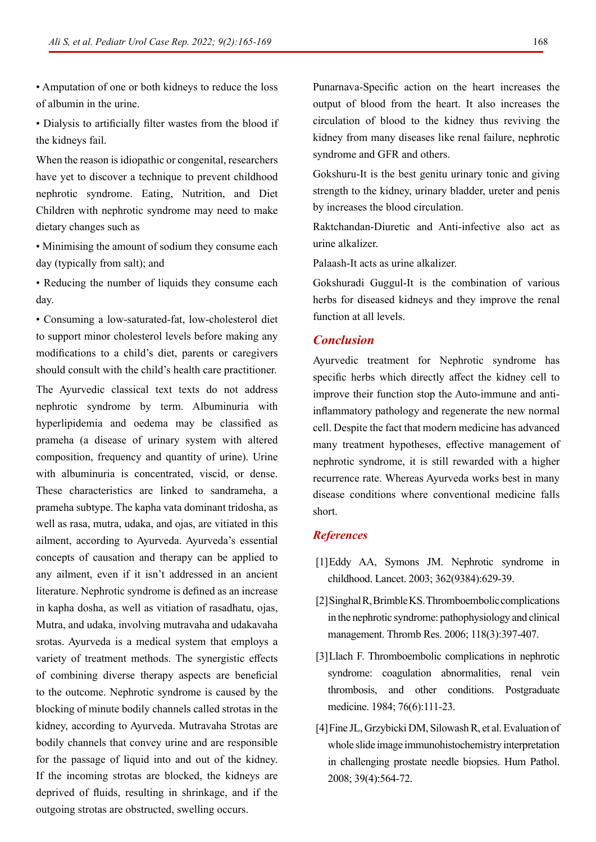• Amputation of one or both kidneys to reduce the loss of albumin in the urine.

• Dialysis to artificially filter wastes from the blood if the kidneys fail.

When the reason is idiopathic or congenital, researchers have yet to discover a technique to prevent childhood nephrotic syndrome. Eating, Nutrition, and Diet Children with nephrotic syndrome may need to make dietary changes such as

• Minimising the amount of sodium they consume each day (typically from salt); and

• Reducing the number of liquids they consume each day.

• Consuming a low-saturated-fat, low-cholesterol diet to support minor cholesterol levels before making any modifications to a child's diet, parents or caregivers should consult with the child's health care practitioner.

The Ayurvedic classical text texts do not address nephrotic syndrome by term. Albuminuria with hyperlipidemia and oedema may be classified as prameha (a disease of urinary system with altered composition, frequency and quantity of urine). Urine with albuminuria is concentrated, viscid, or dense. These characteristics are linked to sandrameha, a prameha subtype. The kapha vata dominant tridosha, as well as rasa, mutra, udaka, and ojas, are vitiated in this ailment, according to Ayurveda. Ayurveda's essential concepts of causation and therapy can be applied to any ailment, even if it isn't addressed in an ancient literature. Nephrotic syndrome is defined as an increase in kapha dosha, as well as vitiation of rasadhatu, ojas, Mutra, and udaka, involving mutravaha and udakavaha srotas. Ayurveda is a medical system that employs a variety of treatment methods. The synergistic effects of combining diverse therapy aspects are beneficial to the outcome. Nephrotic syndrome is caused by the blocking of minute bodily channels called strotas in the kidney, according to Ayurveda. Mutravaha Strotas are bodily channels that convey urine and are responsible for the passage of liquid into and out of the kidney. If the incoming strotas are blocked, the kidneys are deprived of fluids, resulting in shrinkage, and if the outgoing strotas are obstructed, swelling occurs.

Punarnava-Specific action on the heart increases the output of blood from the heart. It also increases the circulation of blood to the kidney thus reviving the kidney from many diseases like renal failure, nephrotic syndrome and GFR and others.

Gokshuru-It is the best genitu urinary tonic and giving strength to the kidney, urinary bladder, ureter and penis by increases the blood circulation.

Raktchandan-Diuretic and Anti-infective also act as urine alkalizer.

Palaash-It acts as urine alkalizer.

Gokshuradi Guggul-It is the combination of various herbs for diseased kidneys and they improve the renal function at all levels.

#### *Conclusion*

Ayurvedic treatment for Nephrotic syndrome has specific herbs which directly affect the kidney cell to improve their function stop the Auto-immune and antiinflammatory pathology and regenerate the new normal cell. Despite the fact that modern medicine has advanced many treatment hypotheses, effective management of nephrotic syndrome, it is still rewarded with a higher recurrence rate. Whereas Ayurveda works best in many disease conditions where conventional medicine falls short.

#### *References*

- [1]Eddy AA, Symons JM. [Nephrotic syndrome in](https://www.sciencedirect.com/science/article/abs/pii/S0140673603141840) [childhood.](https://www.sciencedirect.com/science/article/abs/pii/S0140673603141840) Lancet. 2003; 362(9384):629-39.
- [2]Singhal R, Brimble KS. [Thromboembolic complications](https://www.sciencedirect.com/science/article/abs/pii/S0049384805002136) [in the nephrotic syndrome: pathophysiology and clinical](https://www.sciencedirect.com/science/article/abs/pii/S0049384805002136) [management.](https://www.sciencedirect.com/science/article/abs/pii/S0049384805002136) Thromb Res. 2006; 118(3):397-407.
- [3]Llach F. [Thromboembolic complications in nephrotic](https://www.tandfonline.com/doi/abs/10.1080/00325481.1984.11698782?journalCode=ipgm20) [syndrome: coagulation abnormalities, renal vein](https://www.tandfonline.com/doi/abs/10.1080/00325481.1984.11698782?journalCode=ipgm20) [thrombosis, and other conditions.](https://www.tandfonline.com/doi/abs/10.1080/00325481.1984.11698782?journalCode=ipgm20) Postgraduate medicine. 1984; 76(6):111-23.
- [4]Fine JL, Grzybicki DM, Silowash R, et al. Evaluation of whole slide image immunohistochemistry interpretation in challenging prostate needle biopsies. Hum Pathol. 2008; 39(4):564-72.